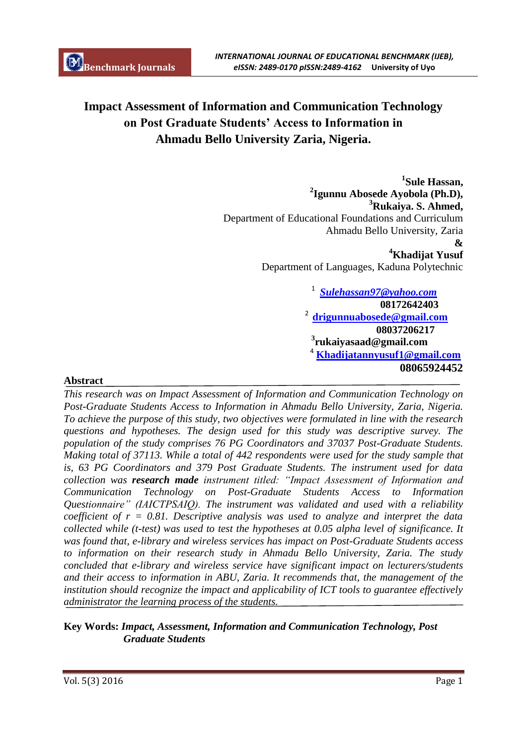# **Impact Assessment of Information and Communication Technology on Post Graduate Students' Access to Information in Ahmadu Bello University Zaria, Nigeria.**

**1 Sule Hassan, 2 Igunnu Abosede Ayobola (Ph.D), <sup>3</sup>Rukaiya. S. Ahmed,** Department of Educational Foundations and Curriculum Ahmadu Bello University, Zaria **& <sup>4</sup>Khadijat Yusuf**

Department of Languages, Kaduna Polytechnic

1 *Sulehassan97@yahoo.com*  **08172642403** <sup>2</sup>**drigunnuabosede@gmail.com 08037206217 3 rukaiyasaad@gmail.com** <sup>4</sup> **Khadijatannyusuf1@gmail.com 08065924452**

# **Abstract**

*This research was on Impact Assessment of Information and Communication Technology on Post-Graduate Students Access to Information in Ahmadu Bello University, Zaria, Nigeria. To achieve the purpose of this study, two objectives were formulated in line with the research questions and hypotheses. The design used for this study was descriptive survey. The population of the study comprises 76 PG Coordinators and 37037 Post-Graduate Students. Making total of 37113. While a total of 442 respondents were used for the study sample that is, 63 PG Coordinators and 379 Post Graduate Students. The instrument used for data collection was research made instrument titled: "Impact Assessment of Information and Communication Technology on Post-Graduate Students Access to Information Questionnaire" (IAICTPSAIQ). The instrument was validated and used with a reliability coefficient of r = 0.81. Descriptive analysis was used to analyze and interpret the data collected while (t-test) was used to test the hypotheses at 0.05 alpha level of significance. It was found that, e-library and wireless services has impact on Post-Graduate Students access to information on their research study in Ahmadu Bello University, Zaria. The study concluded that e-library and wireless service have significant impact on lecturers/students and their access to information in ABU, Zaria. It recommends that, the management of the institution should recognize the impact and applicability of ICT tools to guarantee effectively administrator the learning process of the students.*

# **Key Words:** *Impact, Assessment, Information and Communication Technology, Post Graduate Students*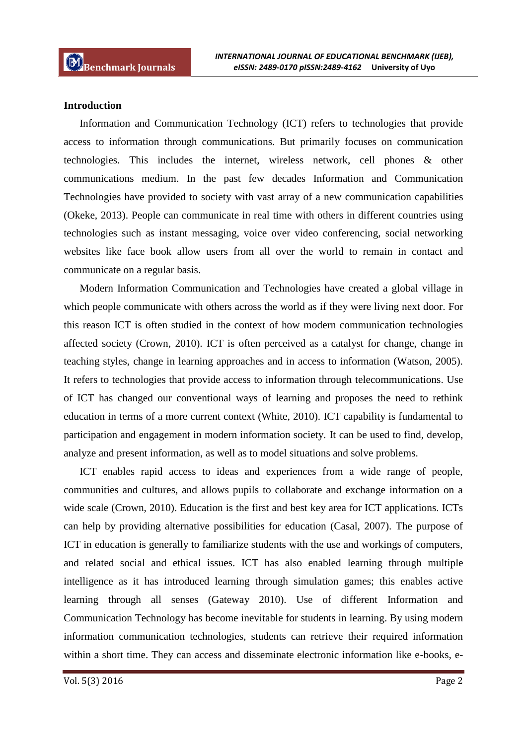#### **Introduction**

Information and Communication Technology (ICT) refers to technologies that provide access to information through communications. But primarily focuses on communication technologies. This includes the internet, wireless network, cell phones & other communications medium. In the past few decades Information and Communication Technologies have provided to society with vast array of a new communication capabilities (Okeke, 2013). People can communicate in real time with others in different countries using technologies such as instant messaging, voice over video conferencing, social networking websites like face book allow users from all over the world to remain in contact and communicate on a regular basis.

Modern Information Communication and Technologies have created a global village in which people communicate with others across the world as if they were living next door. For this reason ICT is often studied in the context of how modern communication technologies affected society (Crown, 2010). ICT is often perceived as a catalyst for change, change in teaching styles, change in learning approaches and in access to information (Watson, 2005). It refers to technologies that provide access to information through telecommunications. Use of ICT has changed our conventional ways of learning and proposes the need to rethink education in terms of a more current context (White, 2010). ICT capability is fundamental to participation and engagement in modern information society. It can be used to find, develop, analyze and present information, as well as to model situations and solve problems.

ICT enables rapid access to ideas and experiences from a wide range of people, communities and cultures, and allows pupils to collaborate and exchange information on a wide scale (Crown, 2010). Education is the first and best key area for ICT applications. ICTs can help by providing alternative possibilities for education (Casal, 2007). The purpose of ICT in education is generally to familiarize students with the use and workings of computers, and related social and ethical issues. ICT has also enabled learning through multiple intelligence as it has introduced learning through simulation games; this enables active learning through all senses (Gateway 2010). Use of different Information and Communication Technology has become inevitable for students in learning. By using modern information communication technologies, students can retrieve their required information within a short time. They can access and disseminate electronic information like e-books, e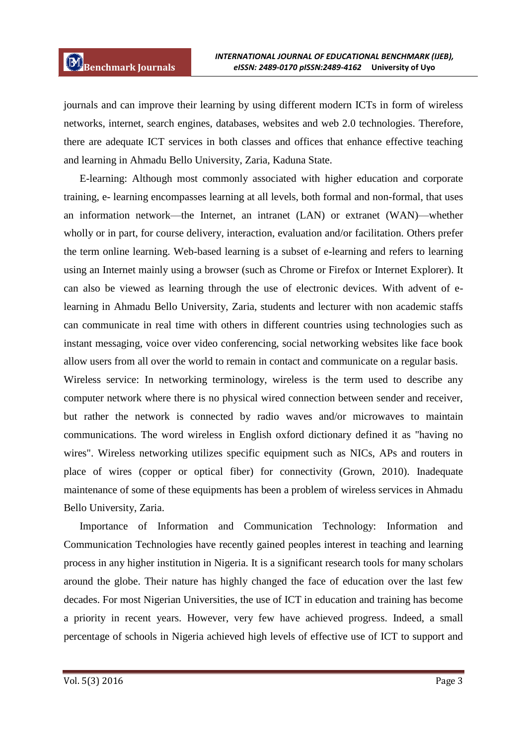journals and can improve their learning by using different modern ICTs in form of wireless networks, internet, search engines, databases, websites and web 2.0 technologies. Therefore, there are adequate ICT services in both classes and offices that enhance effective teaching and learning in Ahmadu Bello University, Zaria, Kaduna State.

E-learning: Although most commonly associated with higher education and corporate training, e- learning encompasses learning at all levels, both formal and non-formal, that uses an information network—the Internet, an intranet (LAN) or extranet (WAN)—whether wholly or in part, for course delivery, interaction, evaluation and/or facilitation. Others prefer the term online learning. Web-based learning is a subset of e-learning and refers to learning using an Internet mainly using a browser (such as Chrome or Firefox or Internet Explorer). It can also be viewed as learning through the use of electronic devices. With advent of elearning in Ahmadu Bello University, Zaria, students and lecturer with non academic staffs can communicate in real time with others in different countries using technologies such as instant messaging, voice over video conferencing, social networking websites like face book allow users from all over the world to remain in contact and communicate on a regular basis.

Wireless service: In networking terminology, wireless is the term used to describe any computer network where there is no physical wired connection between sender and receiver, but rather the network is connected by radio waves and/or microwaves to maintain communications. The word wireless in English oxford dictionary defined it as "having no wires". Wireless networking utilizes specific equipment such as NICs, APs and routers in place of wires (copper or optical fiber) for connectivity (Grown, 2010). Inadequate maintenance of some of these equipments has been a problem of wireless services in Ahmadu Bello University, Zaria.

Importance of Information and Communication Technology: Information and Communication Technologies have recently gained peoples interest in teaching and learning process in any higher institution in Nigeria. It is a significant research tools for many scholars around the globe. Their nature has highly changed the face of education over the last few decades. For most Nigerian Universities, the use of ICT in education and training has become a priority in recent years. However, very few have achieved progress. Indeed, a small percentage of schools in Nigeria achieved high levels of effective use of ICT to support and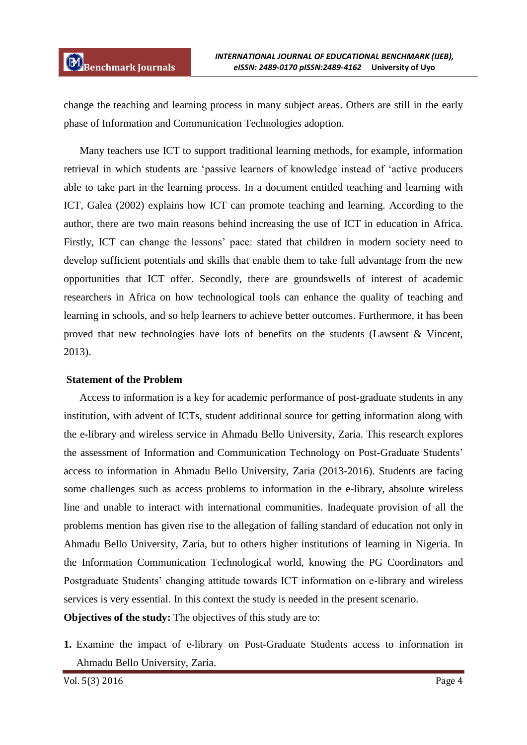change the teaching and learning process in many subject areas. Others are still in the early phase of Information and Communication Technologies adoption.

Many teachers use ICT to support traditional learning methods, for example, information retrieval in which students are "passive learners of knowledge instead of "active producers able to take part in the learning process. In a document entitled teaching and learning with ICT, Galea (2002) explains how ICT can promote teaching and learning. According to the author, there are two main reasons behind increasing the use of ICT in education in Africa. Firstly, ICT can change the lessons' pace: stated that children in modern society need to develop sufficient potentials and skills that enable them to take full advantage from the new opportunities that ICT offer. Secondly, there are groundswells of interest of academic researchers in Africa on how technological tools can enhance the quality of teaching and learning in schools, and so help learners to achieve better outcomes. Furthermore, it has been proved that new technologies have lots of benefits on the students (Lawsent & Vincent, 2013).

#### **Statement of the Problem**

Access to information is a key for academic performance of post-graduate students in any institution, with advent of ICTs, student additional source for getting information along with the e-library and wireless service in Ahmadu Bello University, Zaria. This research explores the assessment of Information and Communication Technology on Post-Graduate Students" access to information in Ahmadu Bello University, Zaria (2013-2016). Students are facing some challenges such as access problems to information in the e-library, absolute wireless line and unable to interact with international communities. Inadequate provision of all the problems mention has given rise to the allegation of falling standard of education not only in Ahmadu Bello University, Zaria, but to others higher institutions of learning in Nigeria. In the Information Communication Technological world, knowing the PG Coordinators and Postgraduate Students' changing attitude towards ICT information on e-library and wireless services is very essential. In this context the study is needed in the present scenario.

**Objectives of the study:** The objectives of this study are to:

**1.** Examine the impact of e-library on Post-Graduate Students access to information in Ahmadu Bello University, Zaria.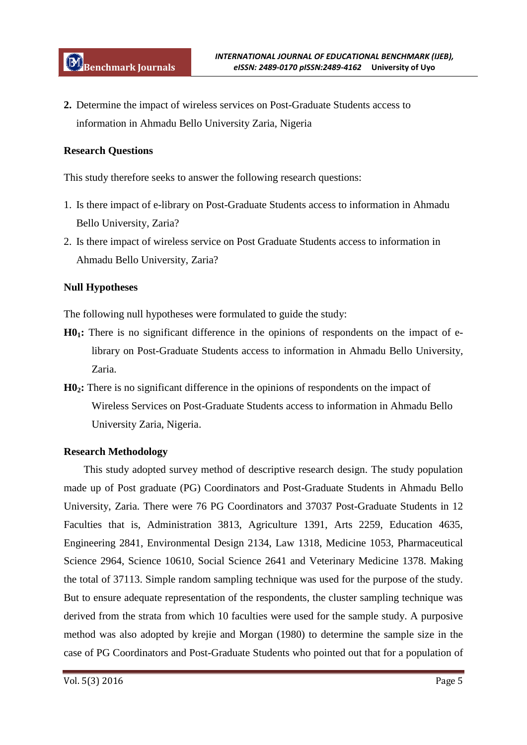**2.** Determine the impact of wireless services on Post-Graduate Students access to information in Ahmadu Bello University Zaria, Nigeria

# **Research Questions**

This study therefore seeks to answer the following research questions:

- 1. Is there impact of e-library on Post-Graduate Students access to information in Ahmadu Bello University, Zaria?
- 2. Is there impact of wireless service on Post Graduate Students access to information in Ahmadu Bello University, Zaria?

## **Null Hypotheses**

The following null hypotheses were formulated to guide the study:

- **H01:** There is no significant difference in the opinions of respondents on the impact of elibrary on Post-Graduate Students access to information in Ahmadu Bello University, Zaria.
- **H02:** There is no significant difference in the opinions of respondents on the impact of Wireless Services on Post-Graduate Students access to information in Ahmadu Bello University Zaria, Nigeria.

#### **Research Methodology**

This study adopted survey method of descriptive research design. The study population made up of Post graduate (PG) Coordinators and Post-Graduate Students in Ahmadu Bello University, Zaria. There were 76 PG Coordinators and 37037 Post-Graduate Students in 12 Faculties that is, Administration 3813, Agriculture 1391, Arts 2259, Education 4635, Engineering 2841, Environmental Design 2134, Law 1318, Medicine 1053, Pharmaceutical Science 2964, Science 10610, Social Science 2641 and Veterinary Medicine 1378. Making the total of 37113. Simple random sampling technique was used for the purpose of the study. But to ensure adequate representation of the respondents, the cluster sampling technique was derived from the strata from which 10 faculties were used for the sample study. A purposive method was also adopted by krejie and Morgan (1980) to determine the sample size in the case of PG Coordinators and Post-Graduate Students who pointed out that for a population of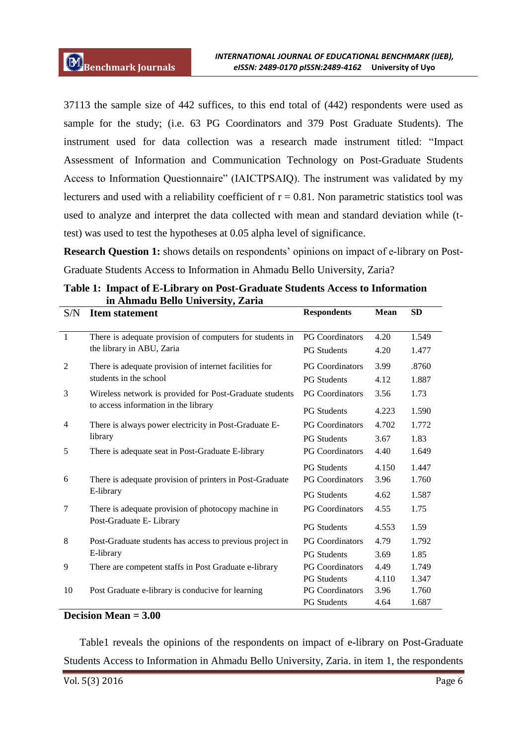37113 the sample size of 442 suffices, to this end total of (442) respondents were used as sample for the study; (i.e. 63 PG Coordinators and 379 Post Graduate Students). The instrument used for data collection was a research made instrument titled: "Impact Assessment of Information and Communication Technology on Post-Graduate Students Access to Information Questionnaire" (IAICTPSAIQ). The instrument was validated by my lecturers and used with a reliability coefficient of  $r = 0.81$ . Non parametric statistics tool was used to analyze and interpret the data collected with mean and standard deviation while (ttest) was used to test the hypotheses at 0.05 alpha level of significance.

**Research Question 1:** shows details on respondents' opinions on impact of e-library on Post-Graduate Students Access to Information in Ahmadu Bello University, Zaria?

| S/N            | <b>Item statement</b>                                    | <b>Respondents</b>     | <b>Mean</b> | <b>SD</b> |  |
|----------------|----------------------------------------------------------|------------------------|-------------|-----------|--|
| $\mathbf{1}$   | There is adequate provision of computers for students in | <b>PG</b> Coordinators | 4.20        | 1.549     |  |
|                | the library in ABU, Zaria                                | <b>PG</b> Students     | 4.20        | 1.477     |  |
| 2              | There is adequate provision of internet facilities for   | <b>PG Coordinators</b> | 3.99        | .8760     |  |
|                | students in the school                                   | <b>PG</b> Students     | 4.12        | 1.887     |  |
| 3              | Wireless network is provided for Post-Graduate students  | <b>PG</b> Coordinators | 3.56        | 1.73      |  |
|                | to access information in the library                     | <b>PG</b> Students     | 4.223       | 1.590     |  |
| $\overline{4}$ | There is always power electricity in Post-Graduate E-    | <b>PG Coordinators</b> | 4.702       | 1.772     |  |
|                | library                                                  | <b>PG</b> Students     | 3.67        | 1.83      |  |
| 5              | There is adequate seat in Post-Graduate E-library        | <b>PG</b> Coordinators | 4.40        | 1.649     |  |
|                |                                                          | <b>PG</b> Students     | 4.150       | 1.447     |  |
| 6              | There is adequate provision of printers in Post-Graduate | <b>PG Coordinators</b> | 3.96        | 1.760     |  |
|                | E-library                                                | <b>PG</b> Students     | 4.62        | 1.587     |  |
| 7              | There is adequate provision of photocopy machine in      | <b>PG Coordinators</b> | 4.55        | 1.75      |  |
|                | Post-Graduate E- Library                                 | <b>PG</b> Students     | 4.553       | 1.59      |  |
| $\,8\,$        | Post-Graduate students has access to previous project in | <b>PG Coordinators</b> | 4.79        | 1.792     |  |
|                | E-library                                                | <b>PG</b> Students     | 3.69        | 1.85      |  |
| 9              | There are competent staffs in Post Graduate e-library    | <b>PG</b> Coordinators | 4.49        | 1.749     |  |
|                |                                                          | <b>PG</b> Students     | 4.110       | 1.347     |  |
| 10             | Post Graduate e-library is conducive for learning        | <b>PG Coordinators</b> | 3.96        | 1.760     |  |
|                |                                                          | <b>PG</b> Students     | 4.64        | 1.687     |  |

**Table 1: Impact of E-Library on Post-Graduate Students Access to Information in Ahmadu Bello University, Zaria**

#### **Decision Mean = 3.00**

Table1 reveals the opinions of the respondents on impact of e-library on Post-Graduate Students Access to Information in Ahmadu Bello University, Zaria. in item 1, the respondents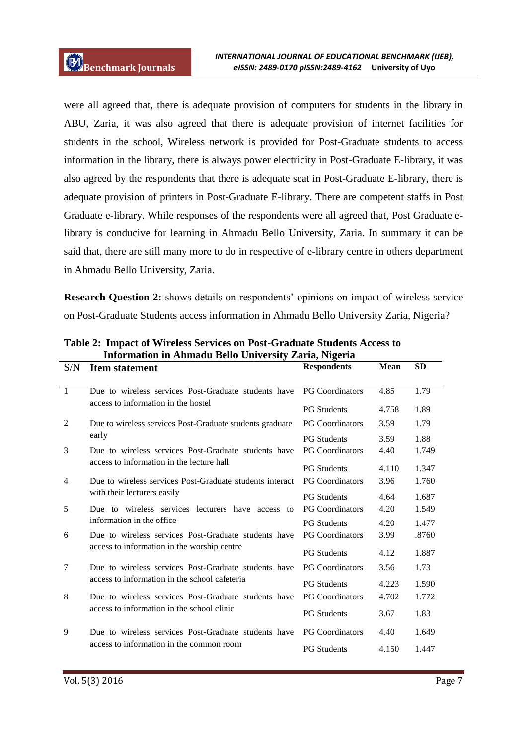were all agreed that, there is adequate provision of computers for students in the library in ABU, Zaria, it was also agreed that there is adequate provision of internet facilities for students in the school, Wireless network is provided for Post-Graduate students to access information in the library, there is always power electricity in Post-Graduate E-library, it was also agreed by the respondents that there is adequate seat in Post-Graduate E-library, there is adequate provision of printers in Post-Graduate E-library. There are competent staffs in Post Graduate e-library. While responses of the respondents were all agreed that, Post Graduate elibrary is conducive for learning in Ahmadu Bello University, Zaria. In summary it can be said that, there are still many more to do in respective of e-library centre in others department in Ahmadu Bello University, Zaria.

**Research Question 2:** shows details on respondents' opinions on impact of wireless service on Post-Graduate Students access information in Ahmadu Bello University Zaria, Nigeria?

| S/N            | <b>Item statement</b>                                                                                 | <b>Respondents</b>     | <b>Mean</b> | <b>SD</b> |
|----------------|-------------------------------------------------------------------------------------------------------|------------------------|-------------|-----------|
| $\overline{1}$ | Due to wireless services Post-Graduate students have                                                  | <b>PG</b> Coordinators | 4.85        | 1.79      |
|                | access to information in the hostel                                                                   | <b>PG Students</b>     | 4.758       | 1.89      |
| 2              | Due to wireless services Post-Graduate students graduate                                              | <b>PG</b> Coordinators | 3.59        | 1.79      |
|                | early                                                                                                 | <b>PG</b> Students     | 3.59        | 1.88      |
| 3              | Due to wireless services Post-Graduate students have<br>access to information in the lecture hall     | <b>PG Coordinators</b> | 4.40        | 1.749     |
|                |                                                                                                       | <b>PG</b> Students     | 4.110       | 1.347     |
| 4              | Due to wireless services Post-Graduate students interact                                              | <b>PG</b> Coordinators | 3.96        | 1.760     |
|                | with their lecturers easily                                                                           | <b>PG</b> Students     | 4.64        | 1.687     |
| 5              | Due to wireless services lecturers have access to                                                     | <b>PG</b> Coordinators | 4.20        | 1.549     |
|                | information in the office                                                                             | <b>PG Students</b>     | 4.20        | 1.477     |
| 6              | Due to wireless services Post-Graduate students have<br>access to information in the worship centre   | <b>PG Coordinators</b> | 3.99        | .8760     |
|                |                                                                                                       | <b>PG</b> Students     | 4.12        | 1.887     |
| 7              | Due to wireless services Post-Graduate students have<br>access to information in the school cafeteria | <b>PG</b> Coordinators | 3.56        | 1.73      |
|                |                                                                                                       | <b>PG Students</b>     | 4.223       | 1.590     |
| 8              | Due to wireless services Post-Graduate students have                                                  | <b>PG Coordinators</b> | 4.702       | 1.772     |
|                | access to information in the school clinic                                                            | <b>PG Students</b>     | 3.67        | 1.83      |
| 9              | Due to wireless services Post-Graduate students have                                                  | <b>PG</b> Coordinators | 4.40        | 1.649     |
|                | access to information in the common room                                                              | <b>PG Students</b>     | 4.150       | 1.447     |

**Table 2: Impact of Wireless Services on Post-Graduate Students Access to Information in Ahmadu Bello University Zaria, Nigeria**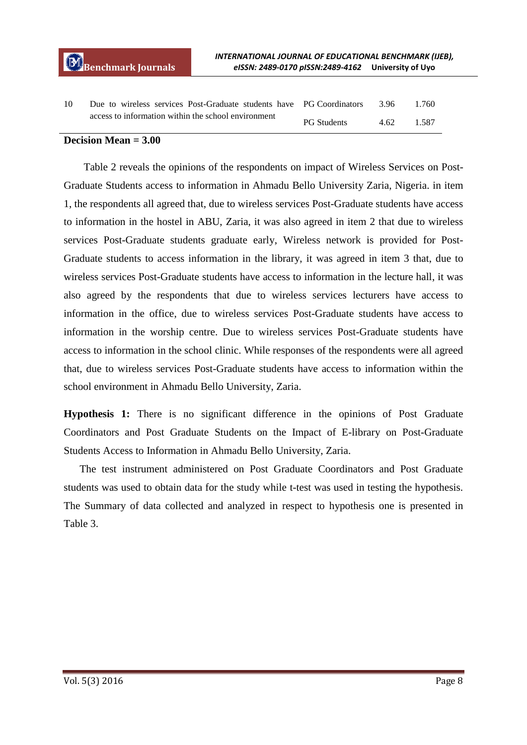| 10 | Due to wireless services Post-Graduate students have PG Coordinators |                    | -3.96 | 1.760 |
|----|----------------------------------------------------------------------|--------------------|-------|-------|
|    | access to information within the school environment                  | <b>PG Students</b> | 4.62. | 1.587 |

#### **Decision Mean = 3.00**

Table 2 reveals the opinions of the respondents on impact of Wireless Services on Post-Graduate Students access to information in Ahmadu Bello University Zaria, Nigeria. in item 1, the respondents all agreed that, due to wireless services Post-Graduate students have access to information in the hostel in ABU, Zaria, it was also agreed in item 2 that due to wireless services Post-Graduate students graduate early, Wireless network is provided for Post-Graduate students to access information in the library, it was agreed in item 3 that, due to wireless services Post-Graduate students have access to information in the lecture hall, it was also agreed by the respondents that due to wireless services lecturers have access to information in the office, due to wireless services Post-Graduate students have access to information in the worship centre. Due to wireless services Post-Graduate students have access to information in the school clinic. While responses of the respondents were all agreed that, due to wireless services Post-Graduate students have access to information within the school environment in Ahmadu Bello University, Zaria.

**Hypothesis 1:** There is no significant difference in the opinions of Post Graduate Coordinators and Post Graduate Students on the Impact of E-library on Post-Graduate Students Access to Information in Ahmadu Bello University, Zaria.

The test instrument administered on Post Graduate Coordinators and Post Graduate students was used to obtain data for the study while t-test was used in testing the hypothesis. The Summary of data collected and analyzed in respect to hypothesis one is presented in Table 3.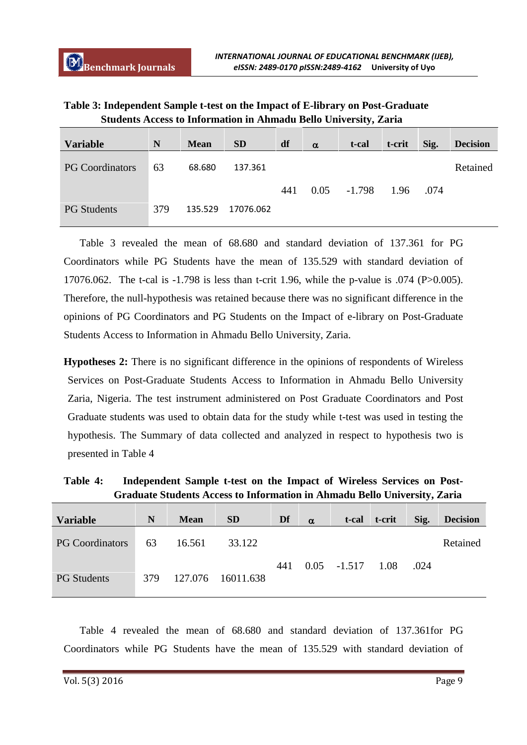| Table 3: Independent Sample t-test on the Impact of E-library on Post-Graduate |
|--------------------------------------------------------------------------------|
| <b>Students Access to Information in Ahmadu Bello University, Zaria</b>        |

| <b>Variable</b>        | N   | <b>Mean</b> | <b>SD</b> | df  | $\alpha$ | t-cal    | t-crit | Sig. | <b>Decision</b> |
|------------------------|-----|-------------|-----------|-----|----------|----------|--------|------|-----------------|
| <b>PG Coordinators</b> | 63  | 68.680      | 137.361   |     |          |          |        |      | Retained        |
|                        |     |             |           | 441 | 0.05     | $-1.798$ | 1.96   | .074 |                 |
| <b>PG Students</b>     | 379 | 135.529     | 17076.062 |     |          |          |        |      |                 |

Table 3 revealed the mean of 68.680 and standard deviation of 137.361 for PG Coordinators while PG Students have the mean of 135.529 with standard deviation of 17076.062. The t-cal is -1.798 is less than t-crit 1.96, while the p-value is .074 (P>0.005). Therefore, the null-hypothesis was retained because there was no significant difference in the opinions of PG Coordinators and PG Students on the Impact of e-library on Post-Graduate Students Access to Information in Ahmadu Bello University, Zaria.

**Hypotheses 2:** There is no significant difference in the opinions of respondents of Wireless Services on Post-Graduate Students Access to Information in Ahmadu Bello University Zaria, Nigeria. The test instrument administered on Post Graduate Coordinators and Post Graduate students was used to obtain data for the study while t-test was used in testing the hypothesis. The Summary of data collected and analyzed in respect to hypothesis two is presented in Table 4

**Table 4: Independent Sample t-test on the Impact of Wireless Services on Post-Graduate Students Access to Information in Ahmadu Bello University, Zaria**

| N   | <b>Mean</b> | <b>SD</b> | Df                | $\alpha$ | t-cal |               | Sig.           | <b>Decision</b> |
|-----|-------------|-----------|-------------------|----------|-------|---------------|----------------|-----------------|
| 63  | 16.561      | 33.122    |                   |          |       |               |                | Retained        |
|     |             |           | 441               |          |       |               | .024           |                 |
| 379 |             |           |                   |          |       |               |                |                 |
|     |             |           | 127.076 16011.638 |          |       | $0.05 -1.517$ | t-crit<br>1.08 |                 |

Table 4 revealed the mean of 68.680 and standard deviation of 137.361for PG Coordinators while PG Students have the mean of 135.529 with standard deviation of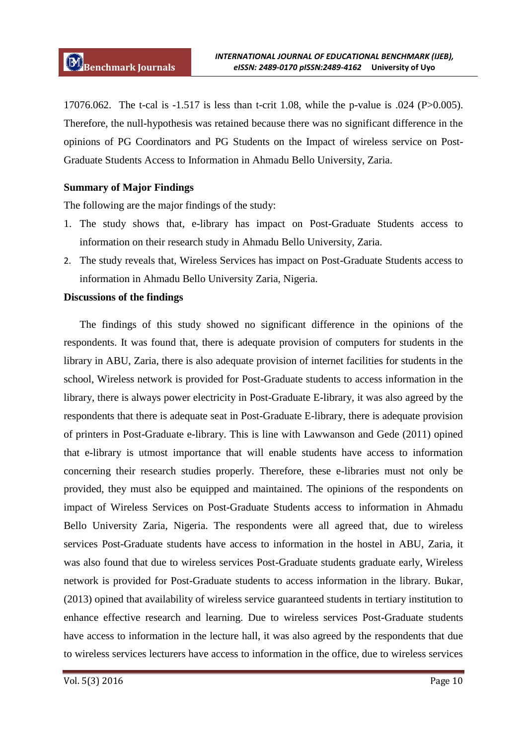17076.062. The t-cal is -1.517 is less than t-crit 1.08, while the p-value is .024 (P>0.005). Therefore, the null-hypothesis was retained because there was no significant difference in the opinions of PG Coordinators and PG Students on the Impact of wireless service on Post-Graduate Students Access to Information in Ahmadu Bello University, Zaria.

## **Summary of Major Findings**

The following are the major findings of the study:

- 1. The study shows that, e-library has impact on Post-Graduate Students access to information on their research study in Ahmadu Bello University, Zaria.
- 2. The study reveals that, Wireless Services has impact on Post-Graduate Students access to information in Ahmadu Bello University Zaria, Nigeria.

#### **Discussions of the findings**

The findings of this study showed no significant difference in the opinions of the respondents. It was found that, there is adequate provision of computers for students in the library in ABU, Zaria, there is also adequate provision of internet facilities for students in the school, Wireless network is provided for Post-Graduate students to access information in the library, there is always power electricity in Post-Graduate E-library, it was also agreed by the respondents that there is adequate seat in Post-Graduate E-library, there is adequate provision of printers in Post-Graduate e-library. This is line with Lawwanson and Gede (2011) opined that e-library is utmost importance that will enable students have access to information concerning their research studies properly. Therefore, these e-libraries must not only be provided, they must also be equipped and maintained. The opinions of the respondents on impact of Wireless Services on Post-Graduate Students access to information in Ahmadu Bello University Zaria, Nigeria. The respondents were all agreed that, due to wireless services Post-Graduate students have access to information in the hostel in ABU, Zaria, it was also found that due to wireless services Post-Graduate students graduate early, Wireless network is provided for Post-Graduate students to access information in the library. Bukar, (2013) opined that availability of wireless service guaranteed students in tertiary institution to enhance effective research and learning. Due to wireless services Post-Graduate students have access to information in the lecture hall, it was also agreed by the respondents that due to wireless services lecturers have access to information in the office, due to wireless services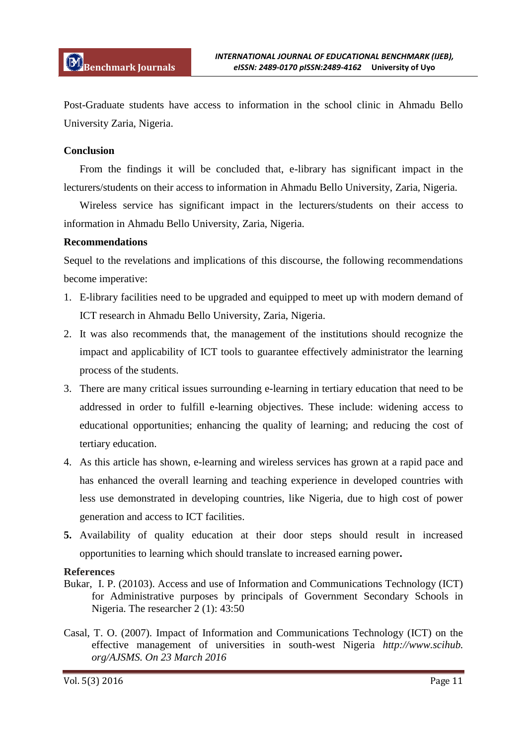Post-Graduate students have access to information in the school clinic in Ahmadu Bello University Zaria, Nigeria.

### **Conclusion**

From the findings it will be concluded that, e-library has significant impact in the lecturers/students on their access to information in Ahmadu Bello University, Zaria, Nigeria.

Wireless service has significant impact in the lecturers/students on their access to information in Ahmadu Bello University, Zaria, Nigeria.

## **Recommendations**

Sequel to the revelations and implications of this discourse, the following recommendations become imperative:

- 1. E-library facilities need to be upgraded and equipped to meet up with modern demand of ICT research in Ahmadu Bello University, Zaria, Nigeria.
- 2. It was also recommends that, the management of the institutions should recognize the impact and applicability of ICT tools to guarantee effectively administrator the learning process of the students.
- 3. There are many critical issues surrounding e-learning in tertiary education that need to be addressed in order to fulfill e-learning objectives. These include: widening access to educational opportunities; enhancing the quality of learning; and reducing the cost of tertiary education.
- 4. As this article has shown, e-learning and wireless services has grown at a rapid pace and has enhanced the overall learning and teaching experience in developed countries with less use demonstrated in developing countries, like Nigeria, due to high cost of power generation and access to ICT facilities.
- **5.** Availability of quality education at their door steps should result in increased opportunities to learning which should translate to increased earning power**.**

# **References**

- Bukar, I. P. (20103). Access and use of Information and Communications Technology (ICT) for Administrative purposes by principals of Government Secondary Schools in Nigeria. The researcher 2 (1): 43:50
- Casal, T. O. (2007). Impact of Information and Communications Technology (ICT) on the effective management of universities in south-west Nigeria *http://www.scihub. org/AJSMS. On 23 March 2016*